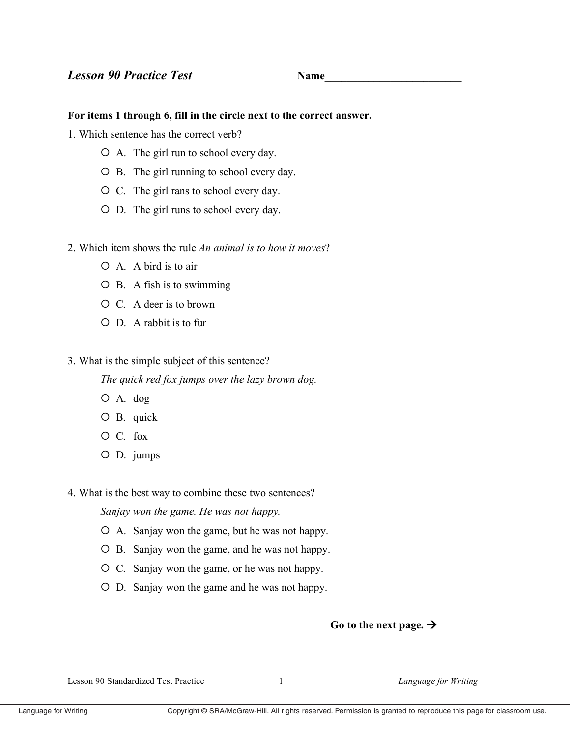**Name** 

## For items 1 through 6, fill in the circle next to the correct answer.

1. Which sentence has the correct verb?

- $\circ$  A. The girl run to school every day.
- O B. The girl running to school every day.
- O C. The girl rans to school every day.
- O D. The girl runs to school every day.
- 2. Which item shows the rule An animal is to how it moves?
	- $O$  A. A bird is to air
	- $O$  B. A fish is to swimming
	- $\circ$  C. A deer is to brown
	- $O$  D. A rabbit is to fur
- 3. What is the simple subject of this sentence?

The quick red fox jumps over the lazy brown dog.

- $O$  A. dog
- O B. quick
- $O C.$  fox
- $O$  D. jumps
- 4. What is the best way to combine these two sentences?

Sanjay won the game. He was not happy.

- O A. Sanjay won the game, but he was not happy.
- O B. Sanjay won the game, and he was not happy.
- O C. Sanjay won the game, or he was not happy.
- O D. Sanjay won the game and he was not happy.

## Go to the next page.  $\rightarrow$

Lesson 90 Standardized Test Practice

 $\mathbf{1}$ 

Language for Writing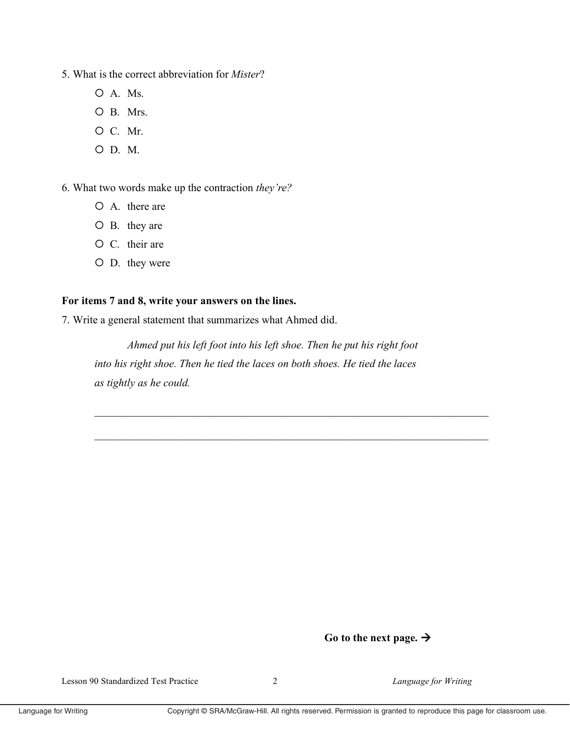- 5. What is the correct abbreviation for *Mister*?
	- $O$  A. Ms.
	- O B. Mrs.
	- O C. Mr.
	- $O$  D. M.

6. What two words make up the contraction they're?

- O A. there are
- $O$  B. they are
- O C. their are
- O D. they were

## For items 7 and 8, write your answers on the lines.

7. Write a general statement that summarizes what Ahmed did.

Ahmed put his left foot into his left shoe. Then he put his right foot into his right shoe. Then he tied the laces on both shoes. He tied the laces as tightly as he could.

## Go to the next page.  $\rightarrow$

Language for Writing